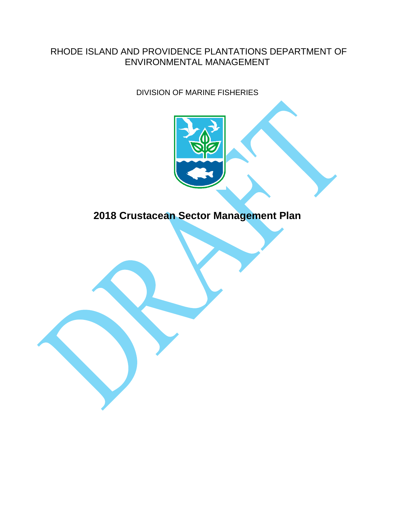### RHODE ISLAND AND PROVIDENCE PLANTATIONS DEPARTMENT OF ENVIRONMENTAL MANAGEMENT

DIVISION OF MARINE FISHERIES



# **2018 Crustacean Sector Management Plan**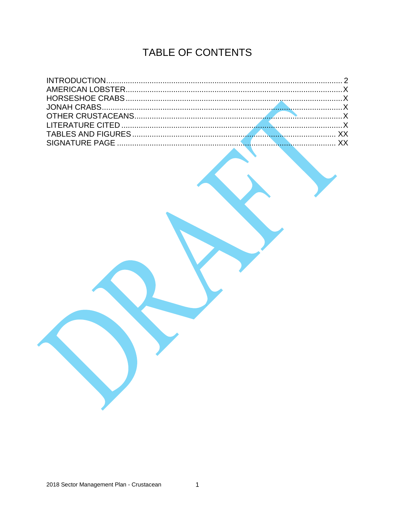# TABLE OF CONTENTS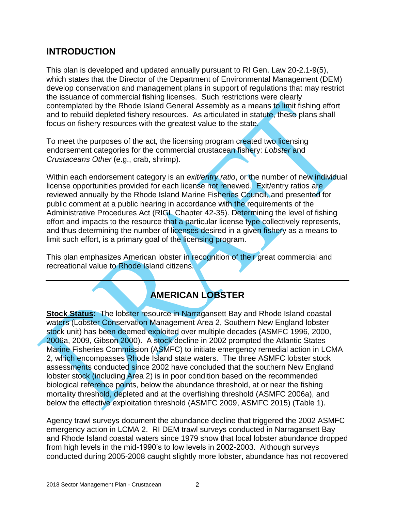#### **INTRODUCTION**

This plan is developed and updated annually pursuant to RI Gen. Law 20-2.1-9(5), which states that the Director of the Department of Environmental Management (DEM) develop conservation and management plans in support of regulations that may restrict the issuance of commercial fishing licenses. Such restrictions were clearly contemplated by the Rhode Island General Assembly as a means to limit fishing effort and to rebuild depleted fishery resources. As articulated in statute, these plans shall focus on fishery resources with the greatest value to the state.

To meet the purposes of the act, the licensing program created two licensing endorsement categories for the commercial crustacean fishery: *Lobster* and *Crustaceans Other* (e.g., crab, shrimp).

Within each endorsement category is an *exit/entry ratio*, or the number of new individual license opportunities provided for each license not renewed. Exit/entry ratios are reviewed annually by the Rhode Island Marine Fisheries Council, and presented for public comment at a public hearing in accordance with the requirements of the Administrative Procedures Act (RIGL Chapter 42-35). Determining the level of fishing effort and impacts to the resource that a particular license type collectively represents, and thus determining the number of licenses desired in a given fishery as a means to limit such effort, is a primary goal of the licensing program.

This plan emphasizes American lobster in recognition of their great commercial and recreational value to Rhode Island citizens.

# **AMERICAN LOBSTER**

**Stock Status:** The lobster resource in Narragansett Bay and Rhode Island coastal waters (Lobster Conservation Management Area 2, Southern New England lobster stock unit) has been deemed exploited over multiple decades (ASMFC 1996, 2000, 2006a, 2009, Gibson 2000). A stock decline in 2002 prompted the Atlantic States Marine Fisheries Commission (ASMFC) to initiate emergency remedial action in LCMA 2, which encompasses Rhode Island state waters. The three ASMFC lobster stock assessments conducted since 2002 have concluded that the southern New England lobster stock (including Area 2) is in poor condition based on the recommended biological reference points, below the abundance threshold, at or near the fishing mortality threshold, depleted and at the overfishing threshold (ASMFC 2006a), and below the effective exploitation threshold (ASMFC 2009, ASMFC 2015) (Table 1).

Agency trawl surveys document the abundance decline that triggered the 2002 ASMFC emergency action in LCMA 2. RI DEM trawl surveys conducted in Narragansett Bay and Rhode Island coastal waters since 1979 show that local lobster abundance dropped from high levels in the mid-1990's to low levels in 2002-2003. Although surveys conducted during 2005-2008 caught slightly more lobster, abundance has not recovered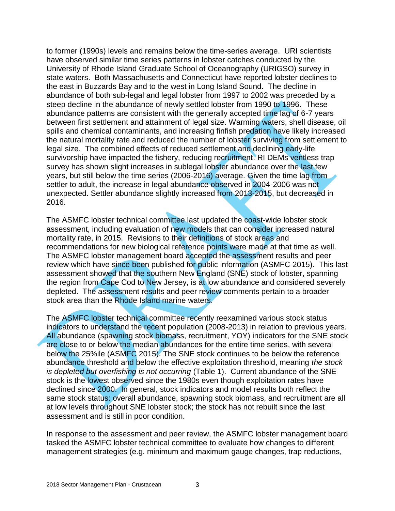to former (1990s) levels and remains below the time-series average. URI scientists have observed similar time series patterns in lobster catches conducted by the University of Rhode Island Graduate School of Oceanography (URIGSO) survey in state waters. Both Massachusetts and Connecticut have reported lobster declines to the east in Buzzards Bay and to the west in Long Island Sound. The decline in abundance of both sub-legal and legal lobster from 1997 to 2002 was preceded by a steep decline in the abundance of newly settled lobster from 1990 to 1996. These abundance patterns are consistent with the generally accepted time lag of 6-7 years between first settlement and attainment of legal size. Warming waters, shell disease, oil spills and chemical contaminants, and increasing finfish predation have likely increased the natural mortality rate and reduced the number of lobster surviving from settlement to legal size. The combined effects of reduced settlement and declining early-life survivorship have impacted the fishery, reducing recruitment. RI DEMs ventless trap survey has shown slight increases in sublegal lobster abundance over the last few years, but still below the time series (2006-2016) average. Given the time lag from settler to adult, the increase in legal abundance observed in 2004-2006 was not unexpected. Settler abundance slightly increased from 2013-2015, but decreased in 2016.

The ASMFC lobster technical committee last updated the coast-wide lobster stock assessment, including evaluation of new models that can consider increased natural mortality rate, in 2015. Revisions to their definitions of stock areas and recommendations for new biological reference points were made at that time as well. The ASMFC lobster management board accepted the assessment results and peer review which have since been published for public information (ASMFC 2015). This last assessment showed that the southern New England (SNE) stock of lobster, spanning the region from Cape Cod to New Jersey, is at low abundance and considered severely depleted. The assessment results and peer review comments pertain to a broader stock area than the Rhode Island marine waters.

The ASMFC lobster technical committee recently reexamined various stock status indicators to understand the recent population (2008-2013) in relation to previous years. All abundance (spawning stock biomass, recruitment, YOY) indicators for the SNE stock are close to or below the median abundances for the entire time series, with several below the 25%ile (ASMFC 2015). The SNE stock continues to be below the reference abundance threshold and below the effective exploitation threshold, meaning *the stock is depleted but overfishing is not occurring* (Table 1). Current abundance of the SNE stock is the lowest observed since the 1980s even though exploitation rates have declined since 2000. In general, stock indicators and model results both reflect the same stock status: overall abundance, spawning stock biomass, and recruitment are all at low levels throughout SNE lobster stock; the stock has not rebuilt since the last assessment and is still in poor condition.

In response to the assessment and peer review, the ASMFC lobster management board tasked the ASMFC lobster technical committee to evaluate how changes to different management strategies (e.g. minimum and maximum gauge changes, trap reductions,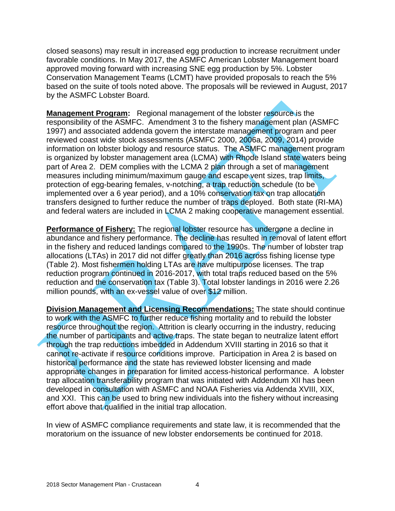closed seasons) may result in increased egg production to increase recruitment under favorable conditions. In May 2017, the ASMFC American Lobster Management board approved moving forward with increasing SNE egg production by 5%. Lobster Conservation Management Teams (LCMT) have provided proposals to reach the 5% based on the suite of tools noted above. The proposals will be reviewed in August, 2017 by the ASMFC Lobster Board.

**Management Program:** Regional management of the lobster resource is the responsibility of the ASMFC. Amendment 3 to the fishery management plan (ASMFC 1997) and associated addenda govern the interstate management program and peer reviewed coast wide stock assessments (ASMFC 2000, 2006a, 2009, 2014) provide information on lobster biology and resource status. The ASMFC management program is organized by lobster management area (LCMA) with Rhode Island state waters being part of Area 2. DEM complies with the LCMA 2 plan through a set of management measures including minimum/maximum gauge and escape vent sizes, trap limits, protection of egg-bearing females, v-notching, a trap reduction schedule (to be implemented over a 6 year period), and a 10% conservation tax on trap allocation transfers designed to further reduce the number of traps deployed. Both state (RI-MA) and federal waters are included in LCMA 2 making cooperative management essential.

**Performance of Fishery:** The regional lobster resource has undergone a decline in abundance and fishery performance. The decline has resulted in removal of latent effort in the fishery and reduced landings compared to the 1990s. The number of lobster trap allocations (LTAs) in 2017 did not differ greatly than 2016 across fishing license type (Table 2). Most fishermen holding LTAs are have multipurpose licenses. The trap reduction program continued in 2016-2017, with total traps reduced based on the 5% reduction and the conservation tax (Table 3). Total lobster landings in 2016 were 2.26 million pounds, with an ex-vessel value of over \$12 million.

**Division Management and Licensing Recommendations:** The state should continue to work with the ASMFC to further reduce fishing mortality and to rebuild the lobster resource throughout the region. Attrition is clearly occurring in the industry, reducing the number of participants and active traps. The state began to neutralize latent effort through the trap reductions imbedded in Addendum XVIII starting in 2016 so that it cannot re-activate if resource conditions improve. Participation in Area 2 is based on historical performance and the state has reviewed lobster licensing and made appropriate changes in preparation for limited access-historical performance. A lobster trap allocation transferability program that was initiated with Addendum XII has been developed in consultation with ASMFC and NOAA Fisheries via Addenda XVIII, XIX, and XXI. This can be used to bring new individuals into the fishery without increasing effort above that qualified in the initial trap allocation.

In view of ASMFC compliance requirements and state law, it is recommended that the moratorium on the issuance of new lobster endorsements be continued for 2018.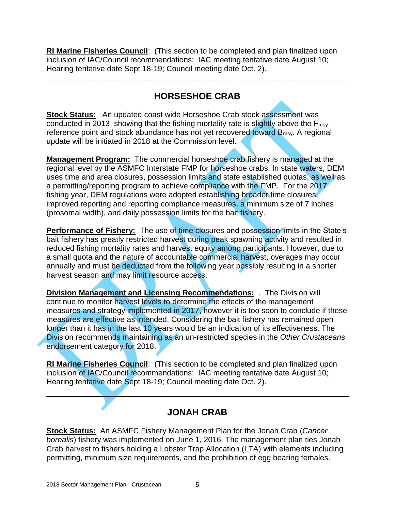**RI Marine Fisheries Council**: (This section to be completed and plan finalized upon inclusion of IAC/Council recommendations: IAC meeting tentative date August 10; Hearing tentative date Sept 18-19; Council meeting date Oct. 2).

## **HORSESHOE CRAB**

**\_\_\_\_\_\_\_\_\_\_\_\_\_\_\_\_\_\_\_\_\_\_\_\_\_\_\_\_\_\_\_\_\_\_\_\_\_\_\_\_\_\_\_\_\_\_\_\_\_\_\_\_\_\_\_\_\_\_\_\_\_\_\_\_\_\_\_\_\_\_**

**Stock Status:** An updated coast wide Horseshoe Crab stock assessment was conducted in 2013 showing that the fishing mortality rate is slightly above the F<sub>msy</sub> reference point and stock abundance has not yet recovered toward B<sub>msy</sub>. A regional update will be initiated in 2018 at the Commission level.

**Management Program:** The commercial horseshoe crab fishery is managed at the regional level by the ASMFC Interstate FMP for horseshoe crabs. In state waters, DEM uses time and area closures, possession limits and state established quotas, as well as a permitting/reporting program to achieve compliance with the FMP. For the 2017 fishing year, DEM regulations were adopted establishing broader time closures, improved reporting and reporting compliance measures, a minimum size of 7 inches (prosomal width), and daily possession limits for the bait fishery.

**Performance of Fishery:** The use of time closures and possession limits in the State's bait fishery has greatly restricted harvest during peak spawning activity and resulted in reduced fishing mortality rates and harvest equity among participants. However, due to a small quota and the nature of accountable commercial harvest, overages may occur annually and must be deducted from the following year possibly resulting in a shorter harvest season and may limit resource access.

**Division Management and Licensing Recommendations:** . The Division will continue to monitor harvest levels to determine the effects of the management measures and strategy implemented in 2017, however it is too soon to conclude if these measures are effective as intended. Considering the bait fishery has remained open longer than it has in the last 10 years would be an indication of its effectiveness. The Division recommends maintaining as an un-restricted species in the *Other Crustaceans* endorsement category for 2018.

**RI Marine Fisheries Council**: (This section to be completed and plan finalized upon inclusion of IAC/Council recommendations: IAC meeting tentative date August 10; Hearing tentative date Sept 18-19; Council meeting date Oct. 2).

## **JONAH CRAB**

**Stock Status:** An ASMFC Fishery Management Plan for the Jonah Crab (*Cancer borealis*) fishery was implemented on June 1, 2016. The management plan ties Jonah Crab harvest to fishers holding a Lobster Trap Allocation (LTA) with elements including permitting, minimum size requirements, and the prohibition of egg bearing females.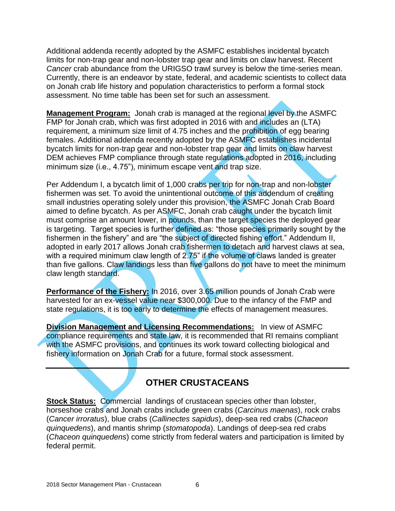Additional addenda recently adopted by the ASMFC establishes incidental bycatch limits for non-trap gear and non-lobster trap gear and limits on claw harvest. Recent *Cancer* crab abundance from the URIGSO trawl survey is below the time-series mean. Currently, there is an endeavor by state, federal, and academic scientists to collect data on Jonah crab life history and population characteristics to perform a formal stock assessment. No time table has been set for such an assessment.

**Management Program:** Jonah crab is managed at the regional level by the ASMFC FMP for Jonah crab, which was first adopted in 2016 with and includes an (LTA) requirement, a minimum size limit of 4.75 inches and the prohibition of egg bearing females. Additional addenda recently adopted by the ASMFC establishes incidental bycatch limits for non-trap gear and non-lobster trap gear and limits on claw harvest DEM achieves FMP compliance through state regulations adopted in 2016, including minimum size (i.e., 4.75"), minimum escape vent and trap size.

Per Addendum I, a bycatch limit of 1,000 crabs per trip for non-trap and non-lobster fishermen was set. To avoid the unintentional outcome of this addendum of creating small industries operating solely under this provision, the ASMFC Jonah Crab Board aimed to define bycatch. As per ASMFC, Jonah crab caught under the bycatch limit must comprise an amount lower, in pounds, than the target species the deployed gear is targeting. Target species is further defined as: "those species primarily sought by the fishermen in the fishery" and are "the subject of directed fishing effort." Addendum II, adopted in early 2017 allows Jonah crab fishermen to detach and harvest claws at sea, with a required minimum claw length of 2.75" if the volume of claws landed is greater than five gallons. Claw landings less than five gallons do not have to meet the minimum claw length standard.

**Performance of the Fishery:** In 2016, over 3.65 million pounds of Jonah Crab were harvested for an ex-vessel value near \$300,000. Due to the infancy of the FMP and state regulations, it is too early to determine the effects of management measures.

**Division Management and Licensing Recommendations:** In view of ASMFC compliance requirements and state law, it is recommended that RI remains compliant with the ASMFC provisions, and continues its work toward collecting biological and fishery information on Jonah Crab for a future, formal stock assessment.

## **OTHER CRUSTACEANS**

**Stock Status:** Commercial landings of crustacean species other than lobster, horseshoe crabs and Jonah crabs include green crabs (*Carcinus maenas*), rock crabs (*Cancer irroratus*), blue crabs (*Callinectes sapidus*), deep-sea red crabs (*Chaceon quinquedens*), and mantis shrimp (*stomatopoda*). Landings of deep-sea red crabs (*Chaceon quinquedens*) come strictly from federal waters and participation is limited by federal permit.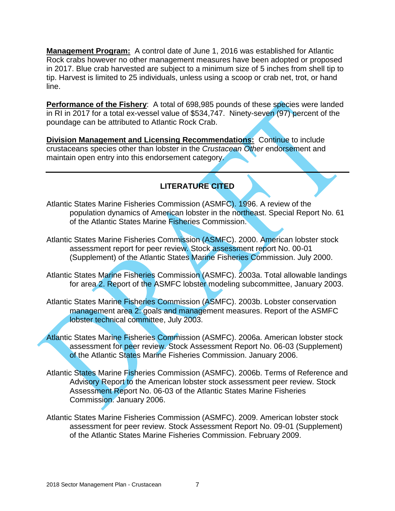**Management Program:** A control date of June 1, 2016 was established for Atlantic Rock crabs however no other management measures have been adopted or proposed in 2017. Blue crab harvested are subject to a minimum size of 5 inches from shell tip to tip. Harvest is limited to 25 individuals, unless using a scoop or crab net, trot, or hand line.

**Performance of the Fishery:** A total of 698,985 pounds of these species were landed in RI in 2017 for a total ex-vessel value of \$534,747. Ninety-seven (97) percent of the poundage can be attributed to Atlantic Rock Crab.

**Division Management and Licensing Recommendations:** Continue to include crustaceans species other than lobster in the *Crustacean Other* endorsement and maintain open entry into this endorsement category.

#### **LITERATURE CITED**

- Atlantic States Marine Fisheries Commission (ASMFC). 1996. A review of the population dynamics of American lobster in the northeast. Special Report No. 61 of the Atlantic States Marine Fisheries Commission.
- Atlantic States Marine Fisheries Commission (ASMFC). 2000. American lobster stock assessment report for peer review. Stock assessment report No. 00-01 (Supplement) of the Atlantic States Marine Fisheries Commission. July 2000.
- Atlantic States Marine Fisheries Commission (ASMFC). 2003a. Total allowable landings for area 2. Report of the ASMFC lobster modeling subcommittee, January 2003.
- Atlantic States Marine Fisheries Commission (ASMFC). 2003b. Lobster conservation management area 2: goals and management measures. Report of the ASMFC lobster technical committee, July 2003.
- Atlantic States Marine Fisheries Commission (ASMFC). 2006a. American lobster stock assessment for peer review. Stock Assessment Report No. 06-03 (Supplement) of the Atlantic States Marine Fisheries Commission. January 2006.
- Atlantic States Marine Fisheries Commission (ASMFC). 2006b. Terms of Reference and Advisory Report to the American lobster stock assessment peer review. Stock Assessment Report No. 06-03 of the Atlantic States Marine Fisheries Commission. January 2006.
- Atlantic States Marine Fisheries Commission (ASMFC). 2009. American lobster stock assessment for peer review. Stock Assessment Report No. 09-01 (Supplement) of the Atlantic States Marine Fisheries Commission. February 2009.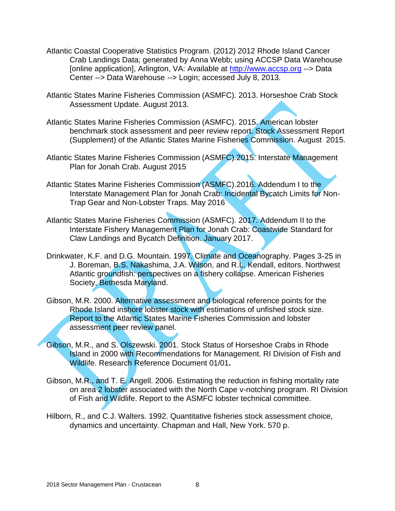- Atlantic Coastal Cooperative Statistics Program. (2012) 2012 Rhode Island Cancer Crab Landings Data; generated by Anna Webb; using ACCSP Data Warehouse [online application], Arlington, VA: Available at [http://www.accsp.org](http://www.accsp.org/) --> Data Center --> Data Warehouse --> Login; accessed July 8, 2013.
- Atlantic States Marine Fisheries Commission (ASMFC). 2013. Horseshoe Crab Stock Assessment Update. August 2013.
- Atlantic States Marine Fisheries Commission (ASMFC). 2015. American lobster benchmark stock assessment and peer review report. Stock Assessment Report (Supplement) of the Atlantic States Marine Fisheries Commission. August 2015.
- Atlantic States Marine Fisheries Commission (ASMFC).2015. Interstate Management Plan for Jonah Crab. August 2015
- Atlantic States Marine Fisheries Commission (ASMFC).2016. Addendum I to the Interstate Management Plan for Jonah Crab: Incidental Bycatch Limits for Non‐ Trap Gear and Non‐Lobster Traps. May 2016
- Atlantic States Marine Fisheries Commission (ASMFC). 2017. Addendum II to the Interstate Fishery Management Plan for Jonah Crab: Coastwide Standard for Claw Landings and Bycatch Definition. January 2017.
- Drinkwater, K.F. and D.G. Mountain. 1997. Climate and Oceanography. Pages 3-25 in J. Boreman, B.S. Nakashima, J.A. Wilson, and R.L. Kendall, editors. Northwest Atlantic groundfish: perspectives on a fishery collapse. American Fisheries Society, Bethesda Maryland.
- Gibson, M.R. 2000. Alternative assessment and biological reference points for the Rhode Island inshore lobster stock with estimations of unfished stock size. Report to the Atlantic States Marine Fisheries Commission and lobster assessment peer review panel.
- Gibson, M.R., and S. Olszewski. 2001. Stock Status of Horseshoe Crabs in Rhode Island in 2000 with Recommendations for Management. RI Division of Fish and Wildlife. Research Reference Document 01/01**.**
- Gibson, M.R., and T. E. Angell. 2006. Estimating the reduction in fishing mortality rate on area 2 lobster associated with the North Cape v-notching program. RI Division of Fish and Wildlife. Report to the ASMFC lobster technical committee.
- Hilborn, R., and C.J. Walters. 1992. Quantitative fisheries stock assessment choice, dynamics and uncertainty. Chapman and Hall, New York. 570 p.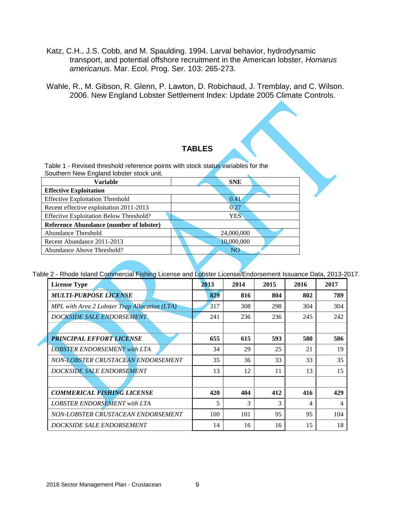- Katz, C.H., J.S. Cobb, and M. Spaulding. 1994. Larval behavior, hydrodynamic transport, and potential offshore recruitment in the American lobster, *Homarus americanus*. Mar. Ecol. Prog. Ser. 103: 265-273.
- Wahle, R., M. Gibson, R. Glenn, P. Lawton, D. Robichaud, J. Tremblay, and C. Wilson. 2006. New England Lobster Settlement Index: Update 2005 Climate Controls.

#### **TABLES**

Table 1 - Revised threshold reference points with stock status variables for the Southern New England lobster stock unit.

| <b>Variable</b>                                | <b>SNE</b> |  |  |  |
|------------------------------------------------|------------|--|--|--|
| <b>Effective Exploitation</b>                  |            |  |  |  |
| <b>Effective Exploitation Threshold</b>        | 0.41       |  |  |  |
| Recent effective exploitation 2011-2013        | 0.27       |  |  |  |
| <b>Effective Exploitation Below Threshold?</b> | <b>YES</b> |  |  |  |
| <b>Reference Abundance (number of lobster)</b> |            |  |  |  |
| Abundance Threshold                            | 24,000,000 |  |  |  |
| Recent Abundance 2011-2013                     | 10,000,000 |  |  |  |
| Abundance Above Threshold?                     | NO         |  |  |  |
|                                                |            |  |  |  |

Table 2 - Rhode Island Commercial Fishing License and Lobster License/Endorsement Issuance Data, 2013-2017.

| <b>License Type</b>                           | 2013 | 2014 | 2015 | 2016 | 2017 |
|-----------------------------------------------|------|------|------|------|------|
| <b>MULTI-PURPOSE LICENSE</b>                  | 829  | 816  | 804  | 802  | 789  |
| MPL with Area 2 Lobster Trap Allocation (LTA) | 317  | 308  | 298  | 304  | 304  |
| <b>DOCKSIDE SALE ENDORSEMENT</b>              | 241  | 236  | 236  | 245  | 242  |
|                                               |      |      |      |      |      |
| <b>PRINCIPAL EFFORT LICENSE</b>               | 655  | 615  | 593  | 580  | 586  |
| <b>LOBSTER ENDORSEMENT with LTA</b>           | 34   | 29   | 25   | 21   | 19   |
| NON-LOBSTER CRUSTACEAN ENDORSEMENT            | 35   | 36   | 33   | 33   | 35   |
| DOCKSIDE SALE ENDORSEMENT                     | 13   | 12   | 11   | 13   | 15   |
|                                               |      |      |      |      |      |
| <b>COMMERICAL FISHING LICENSE</b>             | 420  | 404  | 412  | 416  | 429  |
| <b>LOBSTER ENDORSEMENT with LTA</b>           | 5    | 3    | 3    | 4    | 4    |
| NON-LOBSTER CRUSTACEAN ENDORSEMENT            | 100  | 101  | 95   | 95   | 104  |
| DOCKSIDE SALE ENDORSEMENT                     | 14   | 16   | 16   | 15   | 18   |